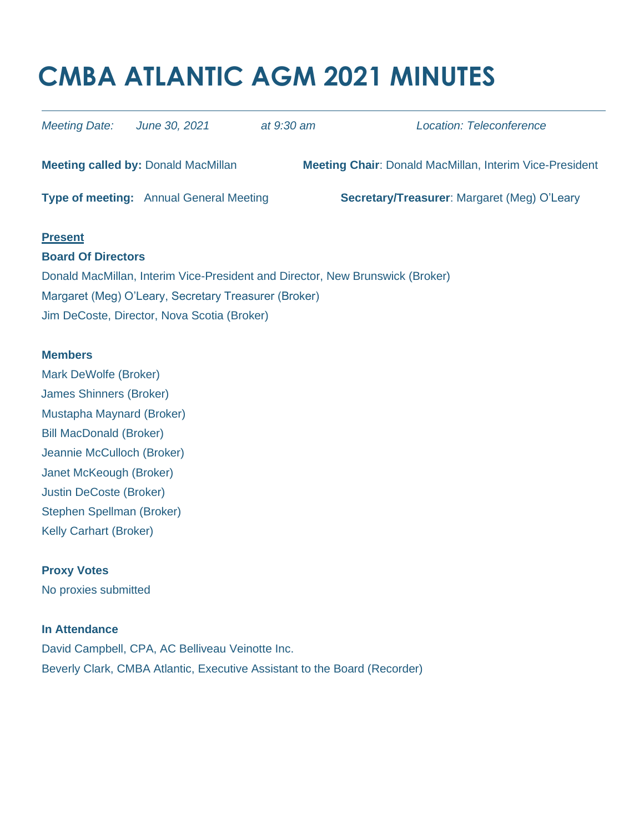# **CMBA ATLANTIC AGM 2021 MINUTES**

| <b>Meeting Date:</b>                                                          | June 30, 2021                                  | at 9:30 am | Location: Teleconference                                       |
|-------------------------------------------------------------------------------|------------------------------------------------|------------|----------------------------------------------------------------|
|                                                                               | <b>Meeting called by: Donald MacMillan</b>     |            | <b>Meeting Chair: Donald MacMillan, Interim Vice-President</b> |
|                                                                               | <b>Type of meeting:</b> Annual General Meeting |            | <b>Secretary/Treasurer: Margaret (Meg) O'Leary</b>             |
| <b>Present</b>                                                                |                                                |            |                                                                |
| <b>Board Of Directors</b>                                                     |                                                |            |                                                                |
| Donald MacMillan, Interim Vice-President and Director, New Brunswick (Broker) |                                                |            |                                                                |
| Margaret (Meg) O'Leary, Secretary Treasurer (Broker)                          |                                                |            |                                                                |
| Jim DeCoste, Director, Nova Scotia (Broker)                                   |                                                |            |                                                                |

#### **Members**

Mark DeWolfe (Broker) James Shinners (Broker) Mustapha Maynard (Broker) Bill MacDonald (Broker) Jeannie McCulloch (Broker) Janet McKeough (Broker) Justin DeCoste (Broker) Stephen Spellman (Broker) Kelly Carhart (Broker)

## **Proxy Votes** No proxies submitted

## **In Attendance**

David Campbell, CPA, AC Belliveau Veinotte Inc. Beverly Clark, CMBA Atlantic, Executive Assistant to the Board (Recorder)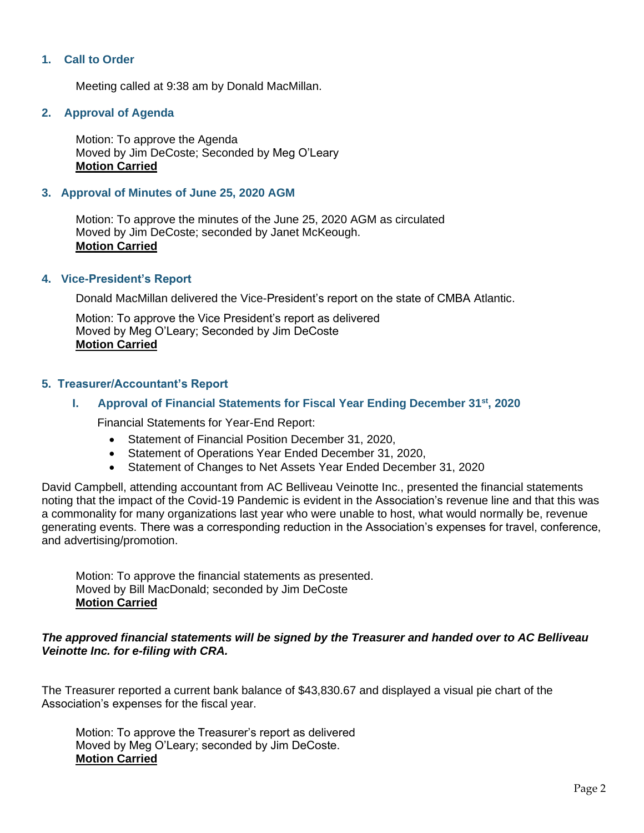## **1. Call to Order**

Meeting called at 9:38 am by Donald MacMillan.

## **2. Approval of Agenda**

Motion: To approve the Agenda Moved by Jim DeCoste; Seconded by Meg O'Leary **Motion Carried**

#### **3. Approval of Minutes of June 25, 2020 AGM**

Motion: To approve the minutes of the June 25, 2020 AGM as circulated Moved by Jim DeCoste; seconded by Janet McKeough. **Motion Carried**

#### **4. Vice-President's Report**

Donald MacMillan delivered the Vice-President's report on the state of CMBA Atlantic.

Motion: To approve the Vice President's report as delivered Moved by Meg O'Leary; Seconded by Jim DeCoste **Motion Carried**

#### **5. Treasurer/Accountant's Report**

#### **I. Approval of Financial Statements for Fiscal Year Ending December 31st, 2020**

Financial Statements for Year-End Report:

- Statement of Financial Position December 31, 2020,
- Statement of Operations Year Ended December 31, 2020,
- Statement of Changes to Net Assets Year Ended December 31, 2020

David Campbell, attending accountant from AC Belliveau Veinotte Inc., presented the financial statements noting that the impact of the Covid-19 Pandemic is evident in the Association's revenue line and that this was a commonality for many organizations last year who were unable to host, what would normally be, revenue generating events. There was a corresponding reduction in the Association's expenses for travel, conference, and advertising/promotion.

Motion: To approve the financial statements as presented. Moved by Bill MacDonald; seconded by Jim DeCoste **Motion Carried**

#### *The approved financial statements will be signed by the Treasurer and handed over to AC Belliveau Veinotte Inc. for e-filing with CRA.*

The Treasurer reported a current bank balance of \$43,830.67 and displayed a visual pie chart of the Association's expenses for the fiscal year.

Motion: To approve the Treasurer's report as delivered Moved by Meg O'Leary; seconded by Jim DeCoste. **Motion Carried**